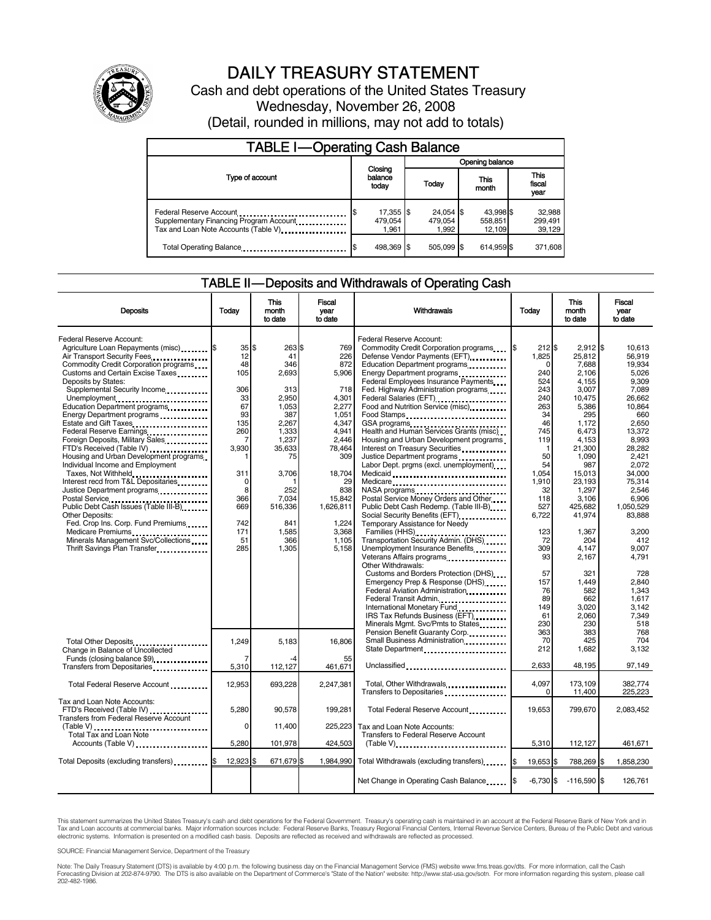

# DAILY TREASURY STATEMENT

Cash and debt operations of the United States Treasury Wednesday, November 26, 2008 (Detail, rounded in millions, may not add to totals)

| <b>TABLE I-Operating Cash Balance</b>                                                                      |                               |                               |                                |                               |  |  |  |
|------------------------------------------------------------------------------------------------------------|-------------------------------|-------------------------------|--------------------------------|-------------------------------|--|--|--|
|                                                                                                            |                               | Opening balance               |                                |                               |  |  |  |
| Type of account                                                                                            | Closing<br>balance<br>today   | Today                         | This<br>month                  | <b>This</b><br>fiscal<br>year |  |  |  |
| Federal Reserve Account<br>Supplementary Financing Program Account<br>Tax and Loan Note Accounts (Table V) | 17,355 \$<br>479,054<br>1.961 | 24,054 \$<br>479,054<br>1.992 | 43,998 \$<br>558,851<br>12.109 | 32,988<br>299,491<br>39,129   |  |  |  |
| Total Operating Balance                                                                                    | 498,369 \$                    | 505.099 \$                    | 614.959 \$                     | 371,608                       |  |  |  |

#### TABLE II — Deposits and Withdrawals of Operating Cash

| <b>Deposits</b>                                                                                                                                                               | Todav                          | This<br>month<br>to date                 | Fiscal<br>vear<br>to date                  | Withdrawals                                                                                                                                                                                                                               | Today                                     | <b>This</b><br>month<br>to date                     | Fiscal<br>vear<br>to date                               |
|-------------------------------------------------------------------------------------------------------------------------------------------------------------------------------|--------------------------------|------------------------------------------|--------------------------------------------|-------------------------------------------------------------------------------------------------------------------------------------------------------------------------------------------------------------------------------------------|-------------------------------------------|-----------------------------------------------------|---------------------------------------------------------|
| Federal Reserve Account:<br>Agriculture Loan Repayments (misc) \$<br>Air Transport Security Fees<br>Commodity Credit Corporation programs<br>Customs and Certain Excise Taxes | 35S<br>12<br>48<br>105         | 263 \$<br>41<br>346<br>2,693             | 769<br>226<br>872<br>5,906                 | Federal Reserve Account:<br>Commodity Credit Corporation programs<br>Defense Vendor Payments (EFT)<br>Education Department programs<br>Energy Department programs                                                                         | 1\$<br>212 \$<br>1,825<br>$\Omega$<br>240 | $2,912$ \$<br>25,812<br>7,688<br>2,106              | 10.613<br>56.919<br>19.934<br>5,026                     |
| Deposits by States:<br>Supplemental Security Income<br>Unemployment<br>Education Department programs                                                                          | 306<br>33<br>67                | 313<br>2,950<br>1,053                    | 718<br>4,301<br>2,277                      | Federal Employees Insurance Payments<br>Fed. Highway Administration programs<br>Federal Salaries (EFT)<br>Food and Nutrition Service (misc) [100]                                                                                         | 524<br>243<br>240<br>263                  | 4,155<br>3,007<br>10.475<br>5,386                   | 9,309<br>7,089<br>26.662<br>10.864                      |
| Energy Department programs<br>Federal Reserve Earnings<br>Foreign Deposits, Military Sales<br>FTD's Received (Table IV)                                                       | 93<br>135<br>260<br>7<br>3.930 | 387<br>2,267<br>1,333<br>1,237<br>35,633 | 1,051<br>4,347<br>4,941<br>2,446<br>78,464 | Food Stamps<br>GSA programs<br>Health and Human Services Grants (misc)<br>Housing and Urban Development programs<br>Interest on Treasury Securities                                                                                       | 34<br>46<br>745<br>119<br>1               | 295<br>1,172<br>6,473<br>4,153<br>21,300            | 660<br>2.650<br>13.372<br>8,993<br>28.282               |
| Housing and Urban Development programs<br>Individual Income and Employment<br>Taxes, Not Withheld<br>Interest recd from T&L Depositaries<br>Justice Department programs<br>   | 1<br>311<br>0<br>8             | 75<br>3,706<br>252                       | 309<br>18,704<br>29<br>838                 | Justice Department programs<br>Labor Dept. prgms (excl. unemployment)<br>Medicaid<br>Medicare<br>NASA programs                                                                                                                            | 50<br>54<br>1,054<br>1.910<br>32          | 1,090<br>987<br>15,013<br>23.193<br>1,297           | 2,421<br>2.072<br>34,000<br>75.314<br>2,546             |
| Postal Service<br>Public Debt Cash Issues (Table III-B)<br>Other Deposits:<br>Fed. Crop Ins. Corp. Fund Premiums<br>Medicare Premiums                                         | 366<br>669<br>742<br>171       | 7.034<br>516,336<br>841<br>1.585         | 15,842<br>1,626,811<br>1.224<br>3.368      | Postal Service Money Orders and Other<br>Public Debt Cash Redemp. (Table III-B)<br>Temporary Assistance for Needy<br>Families (HHS)                                                                                                       | 118<br>527<br>6,722<br>123                | 3.106<br>425,682<br>41,974<br>1.367                 | 6.906<br>1,050,529<br>83,888<br>3.200                   |
| Minerals Management Svc/Collections<br>Thrift Savings Plan Transfer                                                                                                           | 51<br>285                      | 366<br>1,305                             | 1,105<br>5,158                             | Transportation Security Admin. (DHS)<br>Unemployment Insurance Benefits<br>Other Withdrawals:                                                                                                                                             | 72<br>309<br>93                           | 204<br>4,147<br>2,167                               | 412<br>9.007<br>4.791                                   |
|                                                                                                                                                                               |                                |                                          |                                            | Customs and Borders Protection (DHS)<br>Emergency Prep & Response (DHS)<br>Federal Aviation Administration<br>Federal Transit Admin<br>International Monetary Fund<br>IRS Tax Refunds Business (EFT)<br>Minerals Mgmt. Svc/Pmts to States | 57<br>157<br>76<br>89<br>149<br>61<br>230 | 321<br>1.449<br>582<br>662<br>3,020<br>2,060<br>230 | 728<br>2.840<br>1.343<br>1.617<br>3.142<br>7.349<br>518 |
| Total Other Deposits<br>Change in Balance of Uncollected                                                                                                                      | 1,249<br>7                     | 5,183<br>-4                              | 16,806<br>55                               | Pension Benefit Guaranty Corp.<br>Small Business Administration<br>State Department                                                                                                                                                       | 363<br>70<br>212                          | 383<br>425<br>1,682                                 | 768<br>704<br>3.132                                     |
| Funds (closing balance \$9)<br>Transfers from Depositaries                                                                                                                    | 5,310                          | 112,127                                  | 461,671                                    | Unclassified                                                                                                                                                                                                                              | 2.633                                     | 48.195                                              | 97.149                                                  |
| Total Federal Reserve Account                                                                                                                                                 | 12,953                         | 693,228                                  | 2,247,381                                  | Total, Other Withdrawals<br>Transfers to Depositaries                                                                                                                                                                                     | 4,097<br>$\Omega$                         | 173,109<br>11,400                                   | 382,774<br>225,223                                      |
| Tax and Loan Note Accounts:<br>FTD's Received (Table IV)<br><b>Transfers from Federal Reserve Account</b>                                                                     | 5,280                          | 90,578                                   | 199,281                                    | Total Federal Reserve Account                                                                                                                                                                                                             | 19,653                                    | 799,670                                             | 2,083,452                                               |
| (Table V)<br><br><b>Total Tax and Loan Note</b><br>Accounts (Table V)                                                                                                         | 0<br>5,280                     | 11,400<br>101,978                        | 225.223<br>424,503                         | Tax and Loan Note Accounts:<br><b>Transfers to Federal Reserve Account</b><br>$(Table V)$ , $\ldots$ , $\ldots$ , $\ldots$ , $\ldots$ , $\ldots$ , $\ldots$ , $\ldots$ , $\ldots$ , $\ldots$                                              | 5,310                                     | 112,127                                             | 461,671                                                 |
| Total Deposits (excluding transfers)                                                                                                                                          | 12,923 \$                      | 671,679 \$                               | 1.984.990                                  | Total Withdrawals (excluding transfers) [\$                                                                                                                                                                                               | 19,653 \$                                 | 788,269 \$                                          | 1,858,230                                               |
|                                                                                                                                                                               |                                |                                          |                                            | Net Change in Operating Cash Balance                                                                                                                                                                                                      | $-6,730$ \$                               | $-116,590$ \$                                       | 126,761                                                 |

This statement summarizes the United States Treasury's cash and debt operations for the Federal Government. Treasury's operating cash is maintained in an account at the Federal Reserve Bank of New York and in<br>Tax and Loan

SOURCE: Financial Management Service, Department of the Treasury

Note: The Daily Treasury Statement (DTS) is available by 4:00 p.m. the following business day on the Financial Management Service (FMS) website www.fms.treas.gov/dts. For more information, call the Cash<br>Forecasting Divisio eas.gov/dts. F<br>For more infor